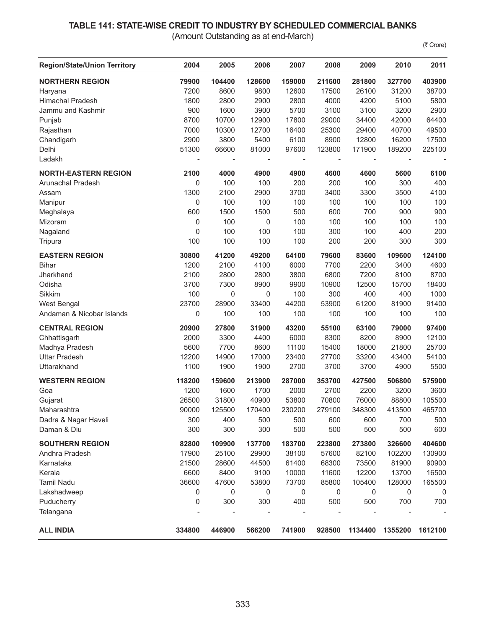## **TABLE 141: STATE-WISE CREDIT TO INDUSTRY BY SCHEDULED COMMERCIAL BANKS**

(Amount Outstanding as at end-March)

(₹ Crore)

| <b>Region/State/Union Territory</b> | 2004                     | 2005   | 2006   | 2007   | 2008   | 2009                     | 2010    | 2011    |
|-------------------------------------|--------------------------|--------|--------|--------|--------|--------------------------|---------|---------|
| <b>NORTHERN REGION</b>              | 79900                    | 104400 | 128600 | 159000 | 211600 | 281800                   | 327700  | 403900  |
| Haryana                             | 7200                     | 8600   | 9800   | 12600  | 17500  | 26100                    | 31200   | 38700   |
| <b>Himachal Pradesh</b>             | 1800                     | 2800   | 2900   | 2800   | 4000   | 4200                     | 5100    | 5800    |
| Jammu and Kashmir                   | 900                      | 1600   | 3900   | 5700   | 3100   | 3100                     | 3200    | 2900    |
| Punjab                              | 8700                     | 10700  | 12900  | 17800  | 29000  | 34400                    | 42000   | 64400   |
| Rajasthan                           | 7000                     | 10300  | 12700  | 16400  | 25300  | 29400                    | 40700   | 49500   |
| Chandigarh                          | 2900                     | 3800   | 5400   | 6100   | 8900   | 12800                    | 16200   | 17500   |
| Delhi                               | 51300                    | 66600  | 81000  | 97600  | 123800 | 171900                   | 189200  | 225100  |
| Ladakh                              | $\overline{\phantom{m}}$ |        |        |        |        | $\overline{\phantom{a}}$ |         |         |
| <b>NORTH-EASTERN REGION</b>         | 2100                     | 4000   | 4900   | 4900   | 4600   | 4600                     | 5600    | 6100    |
| Arunachal Pradesh                   | 0                        | 100    | 100    | 200    | 200    | 100                      | 300     | 400     |
| Assam                               | 1300                     | 2100   | 2900   | 3700   | 3400   | 3300                     | 3500    | 4100    |
| Manipur                             | 0                        | 100    | 100    | 100    | 100    | 100                      | 100     | 100     |
| Meghalaya                           | 600                      | 1500   | 1500   | 500    | 600    | 700                      | 900     | 900     |
| Mizoram                             | 0                        | 100    | 0      | 100    | 100    | 100                      | 100     | 100     |
| Nagaland                            | 0                        | 100    | 100    | 100    | 300    | 100                      | 400     | 200     |
| Tripura                             | 100                      | 100    | 100    | 100    | 200    | 200                      | 300     | 300     |
| <b>EASTERN REGION</b>               | 30800                    | 41200  | 49200  | 64100  | 79600  | 83600                    | 109600  | 124100  |
| <b>Bihar</b>                        | 1200                     | 2100   | 4100   | 6000   | 7700   | 2200                     | 3400    | 4600    |
| Jharkhand                           | 2100                     | 2800   | 2800   | 3800   | 6800   | 7200                     | 8100    | 8700    |
| Odisha                              | 3700                     | 7300   | 8900   | 9900   | 10900  | 12500                    | 15700   | 18400   |
| Sikkim                              | 100                      | 0      | 0      | 100    | 300    | 400                      | 400     | 1000    |
| West Bengal                         | 23700                    | 28900  | 33400  | 44200  | 53900  | 61200                    | 81900   | 91400   |
| Andaman & Nicobar Islands           | 0                        | 100    | 100    | 100    | 100    | 100                      | 100     | 100     |
| <b>CENTRAL REGION</b>               | 20900                    | 27800  | 31900  | 43200  | 55100  | 63100                    | 79000   | 97400   |
| Chhattisgarh                        | 2000                     | 3300   | 4400   | 6000   | 8300   | 8200                     | 8900    | 12100   |
| Madhya Pradesh                      | 5600                     | 7700   | 8600   | 11100  | 15400  | 18000                    | 21800   | 25700   |
| <b>Uttar Pradesh</b>                | 12200                    | 14900  | 17000  | 23400  | 27700  | 33200                    | 43400   | 54100   |
| Uttarakhand                         | 1100                     | 1900   | 1900   | 2700   | 3700   | 3700                     | 4900    | 5500    |
| <b>WESTERN REGION</b>               | 118200                   | 159600 | 213900 | 287000 | 353700 | 427500                   | 506800  | 575900  |
| Goa                                 | 1200                     | 1600   | 1700   | 2000   | 2700   | 2200                     | 3200    | 3600    |
| Gujarat                             | 26500                    | 31800  | 40900  | 53800  | 70800  | 76000                    | 88800   | 105500  |
| Maharashtra                         | 90000                    | 125500 | 170400 | 230200 | 279100 | 348300                   | 413500  | 465700  |
| Dadra & Nagar Haveli                | 300                      | 400    | 500    | 500    | 600    | 600                      | 700     | 500     |
| Daman & Diu                         | 300                      | 300    | 300    | 500    | 500    | 500                      | 500     | 600     |
| <b>SOUTHERN REGION</b>              | 82800                    | 109900 | 137700 | 183700 | 223800 | 273800                   | 326600  | 404600  |
| Andhra Pradesh                      | 17900                    | 25100  | 29900  | 38100  | 57600  | 82100                    | 102200  | 130900  |
| Karnataka                           | 21500                    | 28600  | 44500  | 61400  | 68300  | 73500                    | 81900   | 90900   |
| Kerala                              | 6600                     | 8400   | 9100   | 10000  | 11600  | 12200                    | 13700   | 16500   |
| <b>Tamil Nadu</b>                   | 36600                    | 47600  | 53800  | 73700  | 85800  | 105400                   | 128000  | 165500  |
| Lakshadweep                         | 0                        | 0      | 0      | 0      | 0      | 0                        | 0       | 0       |
| Puducherry                          | 0                        | 300    | 300    | 400    | 500    | 500                      | 700     | 700     |
| Telangana                           |                          |        |        |        |        |                          |         |         |
| <b>ALL INDIA</b>                    | 334800                   | 446900 | 566200 | 741900 | 928500 | 1134400                  | 1355200 | 1612100 |